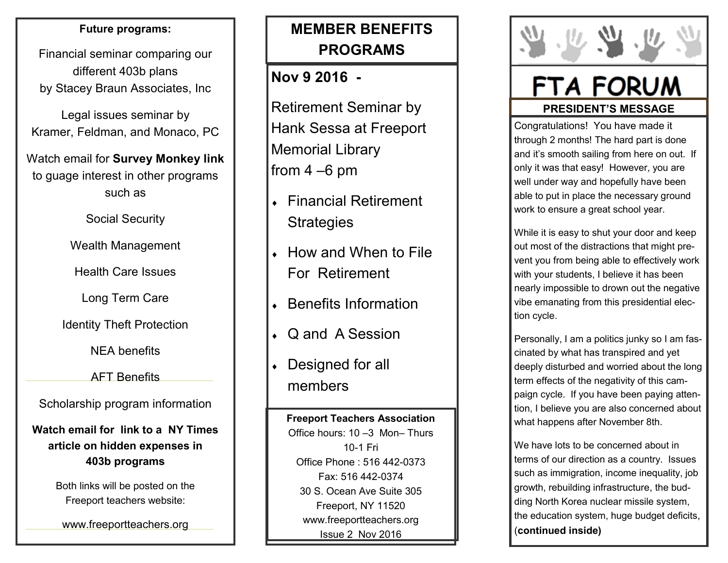## **Future programs:**

Financial seminar comparing our different 403b plans by Stacey Braun Associates, Inc

Legal issues seminar by Kramer, Feldman, and Monaco, PC

Watch email for **Survey Monkey link**  to guage interest in other programs such as

Social Security

Wealth Management

Health Care Issues

Long Term Care

Identity Theft Protection

NEA benefits

AFT Benefits

Scholarship program information

**Watch email for link to a NY Times article on hidden expenses in 403b programs**

> Both links will be posted on the Freeport teachers website:

www.freeportteachers.org

## **MEMBER BENEFITS PROGRAMS**

## **Nov 9 2016 -**

Retirement Seminar by Hank Sessa at Freeport Memorial Library from 4 –6 pm

- Financial Retirement **Strategies**
- ◆ How and When to File For Retirement
- Benefits Information
- Q and A Session
- Designed for all members

**Freeport Teachers Association**  Office hours: 10 –3 Mon– Thurs 10-1 Fri Office Phone : 516 442-0373 Fax: 516 442-0374 30 S. Ocean Ave Suite 305 Freeport, NY 11520 www.freeportteachers.org Issue 2 Nov 2016



## FTA FORUM **PRESIDENT'S MESSAGE**

Congratulations! You have made it through 2 months! The hard part is done and it's smooth sailing from here on out. If only it was that easy! However, you are well under way and hopefully have been able to put in place the necessary ground work to ensure a great school year.

While it is easy to shut your door and keep out most of the distractions that might prevent you from being able to effectively work with your students, I believe it has been nearly impossible to drown out the negative vibe emanating from this presidential election cycle.

Personally, I am a politics junky so I am fascinated by what has transpired and yet deeply disturbed and worried about the long term effects of the negativity of this campaign cycle. If you have been paying attention, I believe you are also concerned about what happens after November 8th.

We have lots to be concerned about in terms of our direction as a country. Issues such as immigration, income inequality, job growth, rebuilding infrastructure, the budding North Korea nuclear missile system, the education system, huge budget deficits, (**continued inside)**